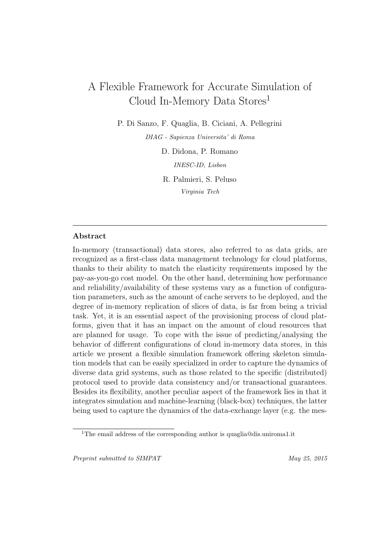# A Flexible Framework for Accurate Simulation of Cloud In-Memory Data Stores<sup>1</sup>

P. Di Sanzo, F. Quaglia, B. Ciciani, A. Pellegrini

*DIAG - Sapienza Universita' di Roma*

D. Didona, P. Romano

*INESC-ID, Lisbon*

R. Palmieri, S. Peluso *Virginia Tech*

#### **Abstract**

In-memory (transactional) data stores, also referred to as data grids, are recognized as a first-class data management technology for cloud platforms, thanks to their ability to match the elasticity requirements imposed by the pay-as-you-go cost model. On the other hand, determining how performance and reliability/availability of these systems vary as a function of configuration parameters, such as the amount of cache servers to be deployed, and the degree of in-memory replication of slices of data, is far from being a trivial task. Yet, it is an essential aspect of the provisioning process of cloud platforms, given that it has an impact on the amount of cloud resources that are planned for usage. To cope with the issue of predicting/analysing the behavior of different configurations of cloud in-memory data stores, in this article we present a flexible simulation framework offering skeleton simulation models that can be easily specialized in order to capture the dynamics of diverse data grid systems, such as those related to the specific (distributed) protocol used to provide data consistency and/or transactional guarantees. Besides its flexibility, another peculiar aspect of the framework lies in that it integrates simulation and machine-learning (black-box) techniques, the latter being used to capture the dynamics of the data-exchange layer (e.g. the mes-

*Preprint submitted to SIMPAT May 25, 2015*

<sup>1</sup>The email address of the corresponding author is quaglia@dis.uniroma1.it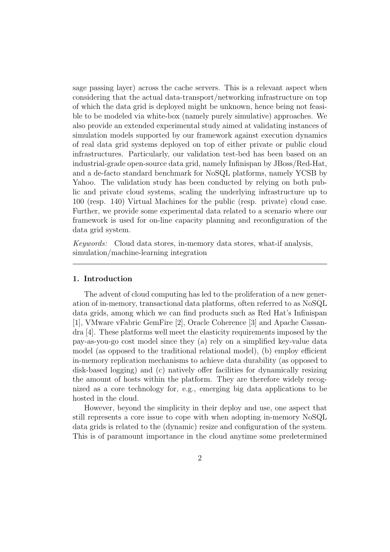sage passing layer) across the cache servers. This is a relevant aspect when considering that the actual data-transport/networking infrastructure on top of which the data grid is deployed might be unknown, hence being not feasible to be modeled via white-box (namely purely simulative) approaches. We also provide an extended experimental study aimed at validating instances of simulation models supported by our framework against execution dynamics of real data grid systems deployed on top of either private or public cloud infrastructures. Particularly, our validation test-bed has been based on an industrial-grade open-source data grid, namely Infinispan by JBoss/Red-Hat, and a de-facto standard benchmark for NoSQL platforms, namely YCSB by Yahoo. The validation study has been conducted by relying on both public and private cloud systems, scaling the underlying infrastructure up to 100 (resp. 140) Virtual Machines for the public (resp. private) cloud case. Further, we provide some experimental data related to a scenario where our framework is used for on-line capacity planning and reconfiguration of the data grid system.

*Keywords:* Cloud data stores, in-memory data stores, what-if analysis, simulation/machine-learning integration

# **1. Introduction**

The advent of cloud computing has led to the proliferation of a new generation of in-memory, transactional data platforms, often referred to as NoSQL data grids, among which we can find products such as Red Hat's Infinispan [1], VMware vFabric GemFire [2], Oracle Coherence [3] and Apache Cassandra [4]. These platforms well meet the elasticity requirements imposed by the pay-as-you-go cost model since they (a) rely on a simplified key-value data model (as opposed to the traditional relational model), (b) employ efficient in-memory replication mechanisms to achieve data durability (as opposed to disk-based logging) and (c) natively offer facilities for dynamically resizing the amount of hosts within the platform. They are therefore widely recognized as a core technology for, e.g., emerging big data applications to be hosted in the cloud.

However, beyond the simplicity in their deploy and use, one aspect that still represents a core issue to cope with when adopting in-memory NoSQL data grids is related to the (dynamic) resize and configuration of the system. This is of paramount importance in the cloud anytime some predetermined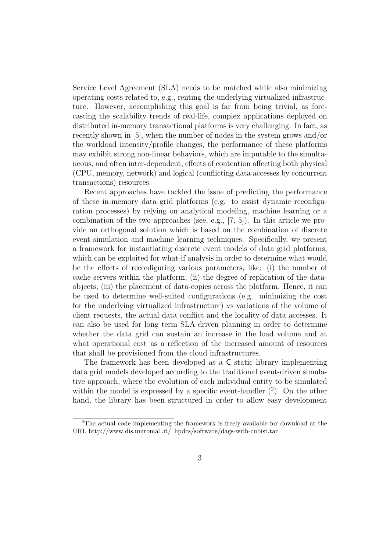Service Level Agreement (SLA) needs to be matched while also minimizing operating costs related to, e.g., renting the underlying virtualized infrastructure. However, accomplishing this goal is far from being trivial, as forecasting the scalability trends of real-life, complex applications deployed on distributed in-memory transactional platforms is very challenging. In fact, as recently shown in [5], when the number of nodes in the system grows and/or the workload intensity/profile changes, the performance of these platforms may exhibit strong non-linear behaviors, which are imputable to the simultaneous, and often inter-dependent, effects of contention affecting both physical (CPU, memory, network) and logical (conflicting data accesses by concurrent transactions) resources.

Recent approaches have tackled the issue of predicting the performance of these in-memory data grid platforms (e.g. to assist dynamic reconfiguration processes) by relying on analytical modeling, machine learning or a combination of the two approaches (see, e.g., [7, 5]). In this article we provide an orthogonal solution which is based on the combination of discrete event simulation and machine learning techniques. Specifically, we present a framework for instantiating discrete event models of data grid platforms, which can be exploited for what-if analysis in order to determine what would be the effects of reconfiguring various parameters, like: (i) the number of cache servers within the platform; (ii) the degree of replication of the dataobjects; (iii) the placement of data-copies across the platform. Hence, it can be used to determine well-suited configurations (e.g. minimizing the cost for the underlying virtualized infrastructure) vs variations of the volume of client requests, the actual data conflict and the locality of data accesses. It can also be used for long term SLA-driven planning in order to determine whether the data grid can sustain an increase in the load volume and at what operational cost–as a reflection of the increased amount of resources that shall be provisioned from the cloud infrastructures.

The framework has been developed as a C static library implementing data grid models developed according to the traditional event-driven simulative approach, where the evolution of each individual entity to be simulated within the model is expressed by a specific event-handler  $(2)$ . On the other hand, the library has been structured in order to allow easy development

<sup>2</sup>The actual code implementing the framework is freely available for download at the URL http://www.dis.uniroma1.it/˜hpdcs/software/dags-with-cubist.tar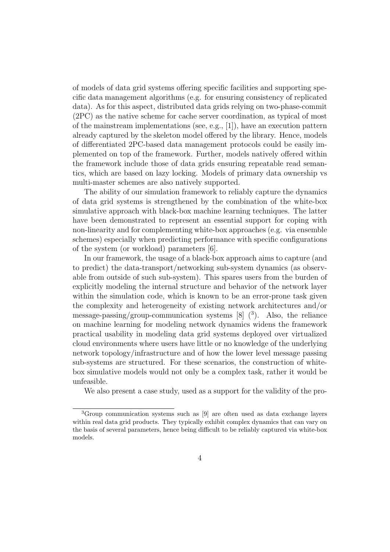of models of data grid systems offering specific facilities and supporting specific data management algorithms (e.g. for ensuring consistency of replicated data). As for this aspect, distributed data grids relying on two-phase-commit (2PC) as the native scheme for cache server coordination, as typical of most of the mainstream implementations (see, e.g., [1]), have an execution pattern already captured by the skeleton model offered by the library. Hence, models of differentiated 2PC-based data management protocols could be easily implemented on top of the framework. Further, models natively offered within the framework include those of data grids ensuring repeatable read semantics, which are based on lazy locking. Models of primary data ownership vs multi-master schemes are also natively supported.

The ability of our simulation framework to reliably capture the dynamics of data grid systems is strengthened by the combination of the white-box simulative approach with black-box machine learning techniques. The latter have been demonstrated to represent an essential support for coping with non-linearity and for complementing white-box approaches (e.g. via ensemble schemes) especially when predicting performance with specific configurations of the system (or workload) parameters [6].

In our framework, the usage of a black-box approach aims to capture (and to predict) the data-transport/networking sub-system dynamics (as observable from outside of such sub-system). This spares users from the burden of explicitly modeling the internal structure and behavior of the network layer within the simulation code, which is known to be an error-prone task given the complexity and heterogeneity of existing network architectures and/or message-passing/group-communication systems  $[8]$   $(3)$ . Also, the reliance on machine learning for modeling network dynamics widens the framework practical usability in modeling data grid systems deployed over virtualized cloud environments where users have little or no knowledge of the underlying network topology/infrastructure and of how the lower level message passing sub-systems are structured. For these scenarios, the construction of whitebox simulative models would not only be a complex task, rather it would be unfeasible.

We also present a case study, used as a support for the validity of the pro-

<sup>3</sup>Group communication systems such as [9] are often used as data exchange layers within real data grid products. They typically exhibit complex dynamics that can vary on the basis of several parameters, hence being difficult to be reliably captured via white-box models.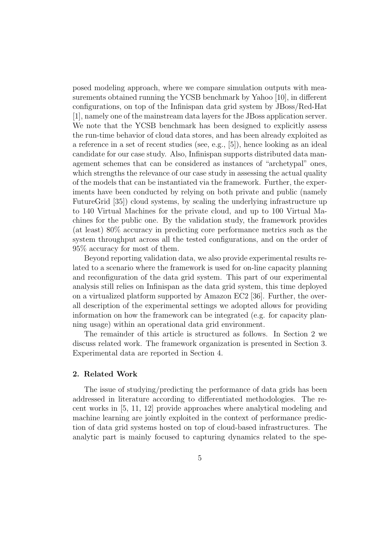posed modeling approach, where we compare simulation outputs with measurements obtained running the YCSB benchmark by Yahoo [10], in different configurations, on top of the Infinispan data grid system by JBoss/Red-Hat [1], namely one of the mainstream data layers for the JBoss application server. We note that the YCSB benchmark has been designed to explicitly assess the run-time behavior of cloud data stores, and has been already exploited as a reference in a set of recent studies (see, e.g., [5]), hence looking as an ideal candidate for our case study. Also, Infinispan supports distributed data management schemes that can be considered as instances of "archetypal" ones, which strengths the relevance of our case study in assessing the actual quality of the models that can be instantiated via the framework. Further, the experiments have been conducted by relying on both private and public (namely FutureGrid [35]) cloud systems, by scaling the underlying infrastructure up to 140 Virtual Machines for the private cloud, and up to 100 Virtual Machines for the public one. By the validation study, the framework provides (at least) 80% accuracy in predicting core performance metrics such as the system throughput across all the tested configurations, and on the order of 95% accuracy for most of them.

Beyond reporting validation data, we also provide experimental results related to a scenario where the framework is used for on-line capacity planning and reconfiguration of the data grid system. This part of our experimental analysis still relies on Infinispan as the data grid system, this time deployed on a virtualized platform supported by Amazon EC2 [36]. Further, the overall description of the experimental settings we adopted allows for providing information on how the framework can be integrated (e.g. for capacity planning usage) within an operational data grid environment.

The remainder of this article is structured as follows. In Section 2 we discuss related work. The framework organization is presented in Section 3. Experimental data are reported in Section 4.

## **2. Related Work**

The issue of studying/predicting the performance of data grids has been addressed in literature according to differentiated methodologies. The recent works in [5, 11, 12] provide approaches where analytical modeling and machine learning are jointly exploited in the context of performance prediction of data grid systems hosted on top of cloud-based infrastructures. The analytic part is mainly focused to capturing dynamics related to the spe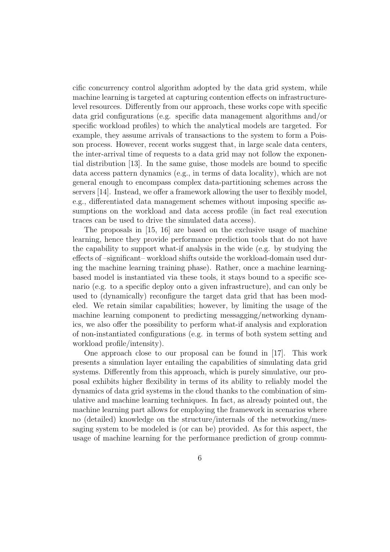cific concurrency control algorithm adopted by the data grid system, while machine learning is targeted at capturing contention effects on infrastructurelevel resources. Differently from our approach, these works cope with specific data grid configurations (e.g. specific data management algorithms and/or specific workload profiles) to which the analytical models are targeted. For example, they assume arrivals of transactions to the system to form a Poisson process. However, recent works suggest that, in large scale data centers, the inter-arrival time of requests to a data grid may not follow the exponential distribution [13]. In the same guise, those models are bound to specific data access pattern dynamics (e.g., in terms of data locality), which are not general enough to encompass complex data-partitioning schemes across the servers [14]. Instead, we offer a framework allowing the user to flexibly model, e.g., differentiated data management schemes without imposing specific assumptions on the workload and data access profile (in fact real execution traces can be used to drive the simulated data access).

The proposals in [15, 16] are based on the exclusive usage of machine learning, hence they provide performance prediction tools that do not have the capability to support what-if analysis in the wide (e.g. by studying the effects of –significant– workload shifts outside the workload-domain used during the machine learning training phase). Rather, once a machine learningbased model is instantiated via these tools, it stays bound to a specific scenario (e.g. to a specific deploy onto a given infrastructure), and can only be used to (dynamically) reconfigure the target data grid that has been modeled. We retain similar capabilities; however, by limiting the usage of the machine learning component to predicting messagging/networking dynamics, we also offer the possibility to perform what-if analysis and exploration of non-instantiated configurations (e.g. in terms of both system setting and workload profile/intensity).

One approach close to our proposal can be found in [17]. This work presents a simulation layer entailing the capabilities of simulating data grid systems. Differently from this approach, which is purely simulative, our proposal exhibits higher flexibility in terms of its ability to reliably model the dynamics of data grid systems in the cloud thanks to the combination of simulative and machine learning techniques. In fact, as already pointed out, the machine learning part allows for employing the framework in scenarios where no (detailed) knowledge on the structure/internals of the networking/messaging system to be modeled is (or can be) provided. As for this aspect, the usage of machine learning for the performance prediction of group commu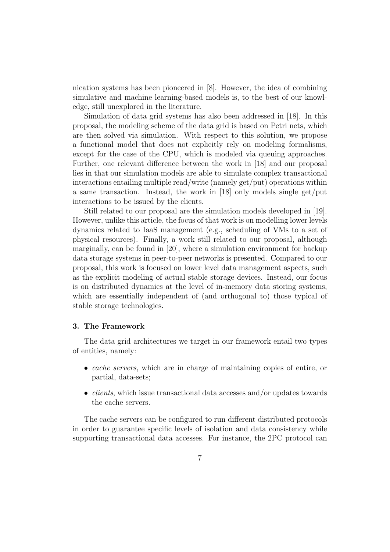nication systems has been pioneered in [8]. However, the idea of combining simulative and machine learning-based models is, to the best of our knowledge, still unexplored in the literature.

Simulation of data grid systems has also been addressed in [18]. In this proposal, the modeling scheme of the data grid is based on Petri nets, which are then solved via simulation. With respect to this solution, we propose a functional model that does not explicitly rely on modeling formalisms, except for the case of the CPU, which is modeled via queuing approaches. Further, one relevant difference between the work in [18] and our proposal lies in that our simulation models are able to simulate complex transactional interactions entailing multiple read/write (namely get/put) operations within a same transaction. Instead, the work in [18] only models single get/put interactions to be issued by the clients.

Still related to our proposal are the simulation models developed in [19]. However, unlike this article, the focus of that work is on modelling lower levels dynamics related to IaaS management (e.g., scheduling of VMs to a set of physical resources). Finally, a work still related to our proposal, although marginally, can be found in [20], where a simulation environment for backup data storage systems in peer-to-peer networks is presented. Compared to our proposal, this work is focused on lower level data management aspects, such as the explicit modeling of actual stable storage devices. Instead, our focus is on distributed dynamics at the level of in-memory data storing systems, which are essentially independent of (and orthogonal to) those typical of stable storage technologies.

# **3. The Framework**

The data grid architectures we target in our framework entail two types of entities, namely:

- *cache servers*, which are in charge of maintaining copies of entire, or partial, data-sets;
- *clients*, which issue transactional data accesses and/or updates towards the cache servers.

The cache servers can be configured to run different distributed protocols in order to guarantee specific levels of isolation and data consistency while supporting transactional data accesses. For instance, the 2PC protocol can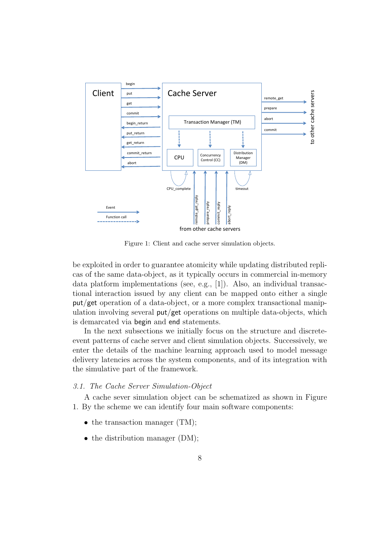

Figure 1: Client and cache server simulation objects.

be exploited in order to guarantee atomicity while updating distributed replicas of the same data-object, as it typically occurs in commercial in-memory data platform implementations (see, e.g., [1]). Also, an individual transactional interaction issued by any client can be mapped onto either a single put/get operation of a data-object, or a more complex transactional manipulation involving several put/get operations on multiple data-objects, which is demarcated via begin and end statements.

In the next subsections we initially focus on the structure and discreteevent patterns of cache server and client simulation objects. Successively, we enter the details of the machine learning approach used to model message delivery latencies across the system components, and of its integration with the simulative part of the framework.

## *3.1. The Cache Server Simulation-Object*

A cache sever simulation object can be schematized as shown in Figure 1. By the scheme we can identify four main software components:

- the transaction manager (TM);
- the distribution manager (DM);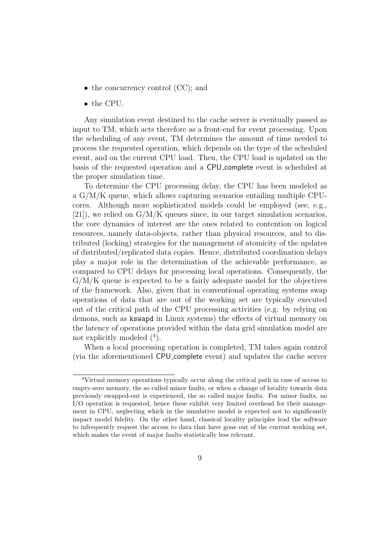- the concurrency control (CC); and
- *•* the CPU.

Any simulation event destined to the cache server is eventually passed as input to TM, which acts therefore as a front-end for event processing. Upon the scheduling of any event, TM determines the amount of time needed to process the requested operation, which depends on the type of the scheduled event, and on the current CPU load. Then, the CPU load is updated on the basis of the requested operation and a CPU complete event is scheduled at the proper simulation time.

To determine the CPU processing delay, the CPU has been modeled as a G/M/K queue, which allows capturing scenarios entailing multiple CPUcores. Although more sophisticated models could be employed (see, e.g.,  $[21]$ , we relied on  $G/M/K$  queues since, in our target simulation scenarios, the core dynamics of interest are the ones related to contention on logical resources, namely data-objects, rather than physical resources, and to distributed (locking) strategies for the management of atomicity of the updates of distributed/replicated data copies. Hence, distributed coordination delays play a major role in the determination of the achievable performance, as compared to CPU delays for processing local operations. Consequently, the G/M/K queue is expected to be a fairly adequate model for the objectives of the framework. Also, given that in conventional operating systems swap operations of data that are out of the working set are typically executed out of the critical path of the CPU processing activities (e.g. by relying on demons, such as kswapd in Linux systems) the effects of virtual memory on the latency of operations provided within the data grid simulation model are not explicitly modeled  $(4)$ .

When a local processing operation is completed, TM takes again control (via the aforementioned CPU complete event) and updates the cache server

<sup>4</sup>Virtual memory operations typically occur along the critical path in case of access to empty-zero memory, the so called minor faults, or when a change of locality towards data previously swapped-out is experienced, the so called major faults. For minor faults, no I/O operation is requested, hence these exhibit very limited overhead for their management in CPU, neglecting which in the simulative model is expected not to significantly impact model fidelity. On the other hand, classical locality principles lead the software to infrequently request the access to data that have gone out of the current working set, which makes the event of major faults statistically less relevant.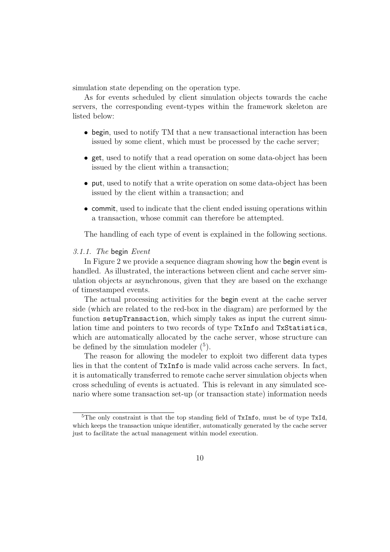simulation state depending on the operation type.

As for events scheduled by client simulation objects towards the cache servers, the corresponding event-types within the framework skeleton are listed below:

- begin, used to notify TM that a new transactional interaction has been issued by some client, which must be processed by the cache server;
- get, used to notify that a read operation on some data-object has been issued by the client within a transaction;
- put, used to notify that a write operation on some data-object has been issued by the client within a transaction; and
- commit, used to indicate that the client ended issuing operations within a transaction, whose commit can therefore be attempted.

The handling of each type of event is explained in the following sections.

#### *3.1.1. The* begin *Event*

In Figure 2 we provide a sequence diagram showing how the begin event is handled. As illustrated, the interactions between client and cache server simulation objects ar asynchronous, given that they are based on the exchange of timestamped events.

The actual processing activities for the begin event at the cache server side (which are related to the red-box in the diagram) are performed by the function setupTransaction, which simply takes as input the current simulation time and pointers to two records of type TxInfo and TxStatistics, which are automatically allocated by the cache server, whose structure can be defined by the simulation modeler  $(5)$ .

The reason for allowing the modeler to exploit two different data types lies in that the content of TxInfo is made valid across cache servers. In fact, it is automatically transferred to remote cache server simulation objects when cross scheduling of events is actuated. This is relevant in any simulated scenario where some transaction set-up (or transaction state) information needs

<sup>&</sup>lt;sup>5</sup>The only constraint is that the top standing field of  $TxInfo$ , must be of type  $TxId$ , which keeps the transaction unique identifier, automatically generated by the cache server just to facilitate the actual management within model execution.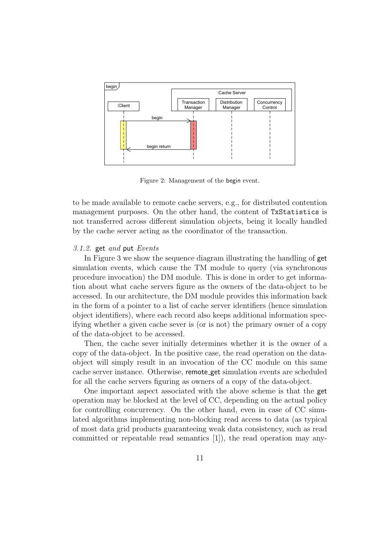

Figure 2: Management of the begin event.

to be made available to remote cache servers, e.g., for distributed contention management purposes. On the other hand, the content of TxStatistics is not transferred across different simulation objects, being it locally handled by the cache server acting as the coordinator of the transaction.

## *3.1.2.* get *and* put *Events*

In Figure 3 we show the sequence diagram illustrating the handling of get simulation events, which cause the TM module to query (via synchronous procedure invocation) the DM module. This is done in order to get information about what cache servers figure as the owners of the data-object to be accessed. In our architecture, the DM module provides this information back in the form of a pointer to a list of cache server identifiers (hence simulation object identifiers), where each record also keeps additional information specifying whether a given cache sever is (or is not) the primary owner of a copy of the data-object to be accessed.

Then, the cache sever initially determines whether it is the owner of a copy of the data-object. In the positive case, the read operation on the dataobject will simply result in an invocation of the CC module on this same cache server instance. Otherwise, remote get simulation events are scheduled for all the cache servers figuring as owners of a copy of the data-object.

One important aspect associated with the above scheme is that the get operation may be blocked at the level of CC, depending on the actual policy for controlling concurrency. On the other hand, even in case of CC simulated algorithms implementing non-blocking read access to data (as typical of most data grid products guaranteeing weak data consistency, such as read committed or repeatable read semantics [1]), the read operation may any-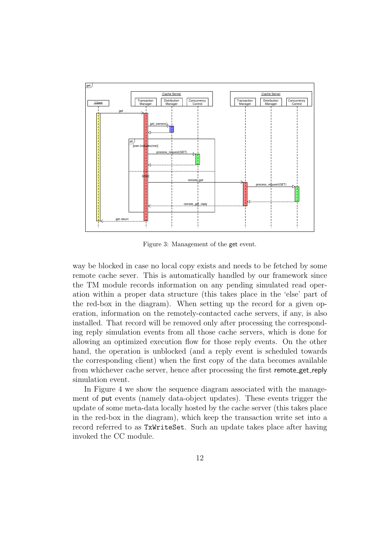

Figure 3: Management of the get event.

way be blocked in case no local copy exists and needs to be fetched by some remote cache sever. This is automatically handled by our framework since the TM module records information on any pending simulated read operation within a proper data structure (this takes place in the 'else' part of the red-box in the diagram). When setting up the record for a given operation, information on the remotely-contacted cache servers, if any, is also installed. That record will be removed only after processing the corresponding reply simulation events from all those cache servers, which is done for allowing an optimized execution flow for those reply events. On the other hand, the operation is unblocked (and a reply event is scheduled towards the corresponding client) when the first copy of the data becomes available from whichever cache server, hence after processing the first remote get reply simulation event.

In Figure 4 we show the sequence diagram associated with the management of put events (namely data-object updates). These events trigger the update of some meta-data locally hosted by the cache server (this takes place in the red-box in the diagram), which keep the transaction write set into a record referred to as TxWriteSet. Such an update takes place after having invoked the CC module.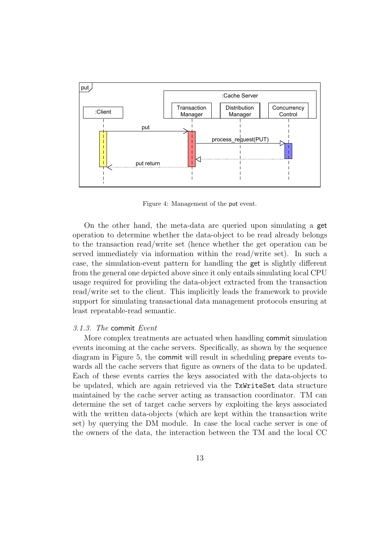

Figure 4: Management of the put event.

On the other hand, the meta-data are queried upon simulating a get operation to determine whether the data-object to be read already belongs to the transaction read/write set (hence whether the get operation can be served immediately via information within the read/write set). In such a case, the simulation-event pattern for handling the get is slightly different from the general one depicted above since it only entails simulating local CPU usage required for providing the data-object extracted from the transaction read/write set to the client. This implicitly leads the framework to provide support for simulating transactional data management protocols ensuring at least repeatable-read semantic.

# *3.1.3. The* commit *Event*

More complex treatments are actuated when handling commit simulation events incoming at the cache servers. Specifically, as shown by the sequence diagram in Figure 5, the commit will result in scheduling prepare events towards all the cache servers that figure as owners of the data to be updated. Each of these events carries the keys associated with the data-objects to be updated, which are again retrieved via the TxWriteSet data structure maintained by the cache server acting as transaction coordinator. TM can determine the set of target cache servers by exploiting the keys associated with the written data-objects (which are kept within the transaction write set) by querying the DM module. In case the local cache server is one of the owners of the data, the interaction between the TM and the local CC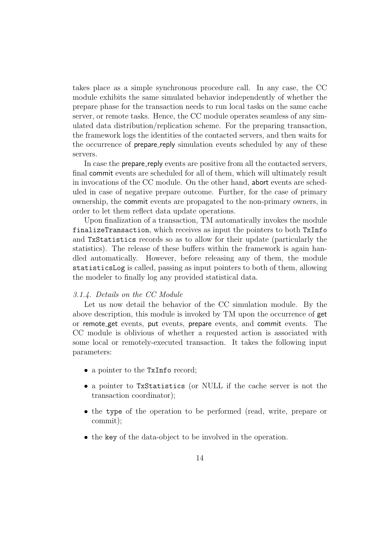takes place as a simple synchronous procedure call. In any case, the CC module exhibits the same simulated behavior independently of whether the prepare phase for the transaction needs to run local tasks on the same cache server, or remote tasks. Hence, the CC module operates seamless of any simulated data distribution/replication scheme. For the preparing transaction, the framework logs the identities of the contacted servers, and then waits for the occurrence of **prepare\_reply** simulation events scheduled by any of these servers.

In case the prepare reply events are positive from all the contacted servers, final commit events are scheduled for all of them, which will ultimately result in invocations of the CC module. On the other hand, abort events are scheduled in case of negative prepare outcome. Further, for the case of primary ownership, the commit events are propagated to the non-primary owners, in order to let them reflect data update operations.

Upon finalization of a transaction, TM automatically invokes the module finalizeTransaction, which receives as input the pointers to both TxInfo and TxStatistics records so as to allow for their update (particularly the statistics). The release of these buffers within the framework is again handled automatically. However, before releasing any of them, the module statisticsLog is called, passing as input pointers to both of them, allowing the modeler to finally log any provided statistical data.

## *3.1.4. Details on the CC Module*

Let us now detail the behavior of the CC simulation module. By the above description, this module is invoked by TM upon the occurrence of get or remote get events, put events, prepare events, and commit events. The CC module is oblivious of whether a requested action is associated with some local or remotely-executed transaction. It takes the following input parameters:

- a pointer to the TxInfo record;
- a pointer to TxStatistics (or NULL if the cache server is not the transaction coordinator);
- the type of the operation to be performed (read, write, prepare or commit);
- the key of the data-object to be involved in the operation.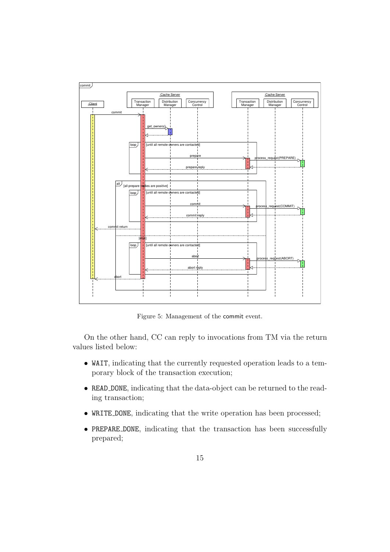

Figure 5: Management of the commit event.

On the other hand, CC can reply to invocations from TM via the return values listed below:

- *•* WAIT, indicating that the currently requested operation leads to a temporary block of the transaction execution;
- *•* READ DONE, indicating that the data-object can be returned to the reading transaction;
- *•* WRITE DONE, indicating that the write operation has been processed;
- PREPARE DONE, indicating that the transaction has been successfully prepared;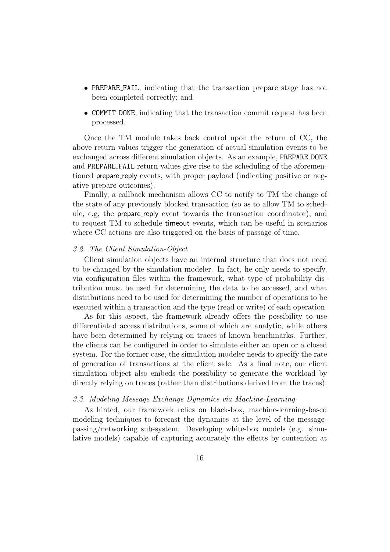- *•* PREPARE FAIL, indicating that the transaction prepare stage has not been completed correctly; and
- COMMIT DONE, indicating that the transaction commit request has been processed.

Once the TM module takes back control upon the return of CC, the above return values trigger the generation of actual simulation events to be exchanged across different simulation objects. As an example, PREPARE DONE and PREPARE FAIL return values give rise to the scheduling of the aforementioned prepare reply events, with proper payload (indicating positive or negative prepare outcomes).

Finally, a callback mechanism allows CC to notify to TM the change of the state of any previously blocked transaction (so as to allow TM to schedule, e.g, the **prepare\_reply** event towards the transaction coordinator), and to request TM to schedule timeout events, which can be useful in scenarios where CC actions are also triggered on the basis of passage of time.

#### *3.2. The Client Simulation-Object*

Client simulation objects have an internal structure that does not need to be changed by the simulation modeler. In fact, he only needs to specify, via configuration files within the framework, what type of probability distribution must be used for determining the data to be accessed, and what distributions need to be used for determining the number of operations to be executed within a transaction and the type (read or write) of each operation.

As for this aspect, the framework already offers the possibility to use differentiated access distributions, some of which are analytic, while others have been determined by relying on traces of known benchmarks. Further, the clients can be configured in order to simulate either an open or a closed system. For the former case, the simulation modeler needs to specify the rate of generation of transactions at the client side. As a final note, our client simulation object also embeds the possibility to generate the workload by directly relying on traces (rather than distributions derived from the traces).

## *3.3. Modeling Message Exchange Dynamics via Machine-Learning*

As hinted, our framework relies on black-box, machine-learning-based modeling techniques to forecast the dynamics at the level of the messagepassing/networking sub-system. Developing white-box models (e.g. simulative models) capable of capturing accurately the effects by contention at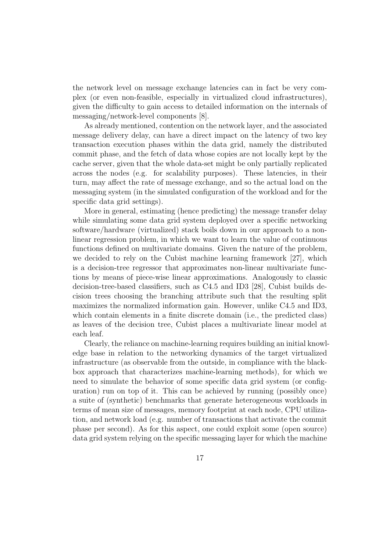the network level on message exchange latencies can in fact be very complex (or even non-feasible, especially in virtualized cloud infrastructures), given the difficulty to gain access to detailed information on the internals of messaging/network-level components [8].

As already mentioned, contention on the network layer, and the associated message delivery delay, can have a direct impact on the latency of two key transaction execution phases within the data grid, namely the distributed commit phase, and the fetch of data whose copies are not locally kept by the cache server, given that the whole data-set might be only partially replicated across the nodes (e.g. for scalability purposes). These latencies, in their turn, may affect the rate of message exchange, and so the actual load on the messaging system (in the simulated configuration of the workload and for the specific data grid settings).

More in general, estimating (hence predicting) the message transfer delay while simulating some data grid system deployed over a specific networking software/hardware (virtualized) stack boils down in our approach to a nonlinear regression problem, in which we want to learn the value of continuous functions defined on multivariate domains. Given the nature of the problem, we decided to rely on the Cubist machine learning framework [27], which is a decision-tree regressor that approximates non-linear multivariate functions by means of piece-wise linear approximations. Analogously to classic decision-tree-based classifiers, such as C4.5 and ID3 [28], Cubist builds decision trees choosing the branching attribute such that the resulting split maximizes the normalized information gain. However, unlike C4.5 and ID3, which contain elements in a finite discrete domain (i.e., the predicted class) as leaves of the decision tree, Cubist places a multivariate linear model at each leaf.

Clearly, the reliance on machine-learning requires building an initial knowledge base in relation to the networking dynamics of the target virtualized infrastructure (as observable from the outside, in compliance with the blackbox approach that characterizes machine-learning methods), for which we need to simulate the behavior of some specific data grid system (or configuration) run on top of it. This can be achieved by running (possibly once) a suite of (synthetic) benchmarks that generate heterogeneous workloads in terms of mean size of messages, memory footprint at each node, CPU utilization, and network load (e.g. number of transactions that activate the commit phase per second). As for this aspect, one could exploit some (open source) data grid system relying on the specific messaging layer for which the machine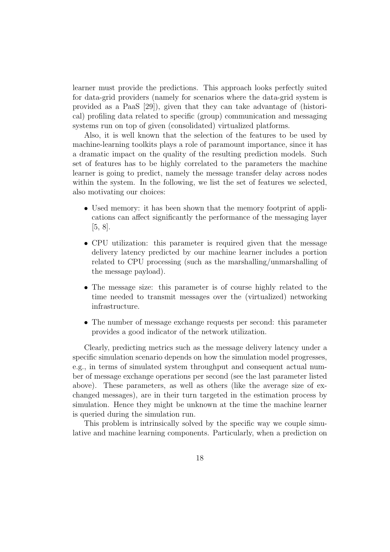learner must provide the predictions. This approach looks perfectly suited for data-grid providers (namely for scenarios where the data-grid system is provided as a PaaS [29]), given that they can take advantage of (historical) profiling data related to specific (group) communication and messaging systems run on top of given (consolidated) virtualized platforms.

Also, it is well known that the selection of the features to be used by machine-learning toolkits plays a role of paramount importance, since it has a dramatic impact on the quality of the resulting prediction models. Such set of features has to be highly correlated to the parameters the machine learner is going to predict, namely the message transfer delay across nodes within the system. In the following, we list the set of features we selected, also motivating our choices:

- Used memory: it has been shown that the memory footprint of applications can affect significantly the performance of the messaging layer [5, 8].
- CPU utilization: this parameter is required given that the message delivery latency predicted by our machine learner includes a portion related to CPU processing (such as the marshalling/unmarshalling of the message payload).
- The message size: this parameter is of course highly related to the time needed to transmit messages over the (virtualized) networking infrastructure.
- The number of message exchange requests per second: this parameter provides a good indicator of the network utilization.

Clearly, predicting metrics such as the message delivery latency under a specific simulation scenario depends on how the simulation model progresses, e.g., in terms of simulated system throughput and consequent actual number of message exchange operations per second (see the last parameter listed above). These parameters, as well as others (like the average size of exchanged messages), are in their turn targeted in the estimation process by simulation. Hence they might be unknown at the time the machine learner is queried during the simulation run.

This problem is intrinsically solved by the specific way we couple simulative and machine learning components. Particularly, when a prediction on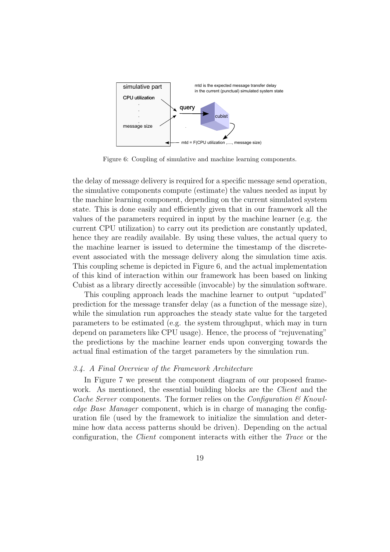

Figure 6: Coupling of simulative and machine learning components.

the delay of message delivery is required for a specific message send operation, the simulative components compute (estimate) the values needed as input by the machine learning component, depending on the current simulated system state. This is done easily and efficiently given that in our framework all the values of the parameters required in input by the machine learner (e.g. the current CPU utilization) to carry out its prediction are constantly updated, hence they are readily available. By using these values, the actual query to the machine learner is issued to determine the timestamp of the discreteevent associated with the message delivery along the simulation time axis. This coupling scheme is depicted in Figure 6, and the actual implementation of this kind of interaction within our framework has been based on linking Cubist as a library directly accessible (invocable) by the simulation software.

This coupling approach leads the machine learner to output "updated" prediction for the message transfer delay (as a function of the message size), while the simulation run approaches the steady state value for the targeted parameters to be estimated (e.g. the system throughput, which may in turn depend on parameters like CPU usage). Hence, the process of "rejuvenating" the predictions by the machine learner ends upon converging towards the actual final estimation of the target parameters by the simulation run.

# *3.4. A Final Overview of the Framework Architecture*

In Figure 7 we present the component diagram of our proposed framework. As mentioned, the essential building blocks are the *Client* and the *Cache Server* components. The former relies on the *Configuration & Knowledge Base Manager* component, which is in charge of managing the configuration file (used by the framework to initialize the simulation and determine how data access patterns should be driven). Depending on the actual configuration, the *Client* component interacts with either the *Trace* or the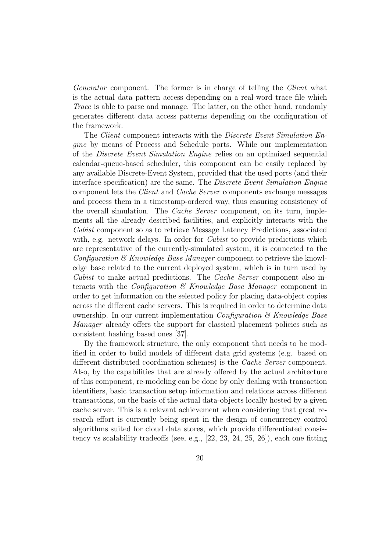*Generator* component. The former is in charge of telling the *Client* what is the actual data pattern access depending on a real-word trace file which *Trace* is able to parse and manage. The latter, on the other hand, randomly generates different data access patterns depending on the configuration of the framework.

The *Client* component interacts with the *Discrete Event Simulation Engine* by means of Process and Schedule ports. While our implementation of the *Discrete Event Simulation Engine* relies on an optimized sequential calendar-queue-based scheduler, this component can be easily replaced by any available Discrete-Event System, provided that the used ports (and their interface-specification) are the same. The *Discrete Event Simulation Engine* component lets the *Client* and *Cache Server* components exchange messages and process them in a timestamp-ordered way, thus ensuring consistency of the overall simulation. The *Cache Server* component, on its turn, implements all the already described facilities, and explicitly interacts with the *Cubist* component so as to retrieve Message Latency Predictions, associated with, e.g. network delays. In order for *Cubist* to provide predictions which are representative of the currently-simulated system, it is connected to the *Configuration & Knowledge Base Manager* component to retrieve the knowledge base related to the current deployed system, which is in turn used by *Cubist* to make actual predictions. The *Cache Server* component also interacts with the *Configuration & Knowledge Base Manager* component in order to get information on the selected policy for placing data-object copies across the different cache servers. This is required in order to determine data ownership. In our current implementation *Configuration & Knowledge Base Manager* already offers the support for classical placement policies such as consistent hashing based ones [37].

By the framework structure, the only component that needs to be modified in order to build models of different data grid systems (e.g. based on different distributed coordination schemes) is the *Cache Server* component. Also, by the capabilities that are already offered by the actual architecture of this component, re-modeling can be done by only dealing with transaction identifiers, basic transaction setup information and relations across different transactions, on the basis of the actual data-objects locally hosted by a given cache server. This is a relevant achievement when considering that great research effort is currently being spent in the design of concurrency control algorithms suited for cloud data stores, which provide differentiated consistency vs scalability tradeoffs (see, e.g., [22, 23, 24, 25, 26]), each one fitting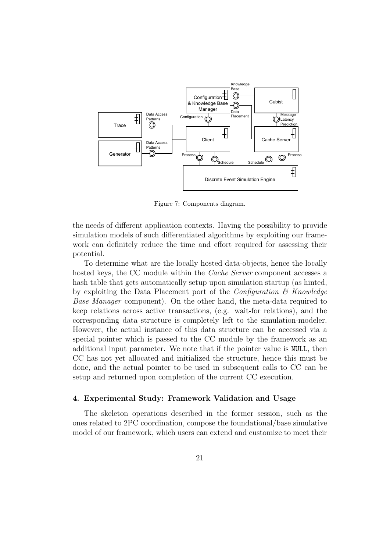

Figure 7: Components diagram.

the needs of different application contexts. Having the possibility to provide simulation models of such differentiated algorithms by exploiting our framework can definitely reduce the time and effort required for assessing their potential.

To determine what are the locally hosted data-objects, hence the locally hosted keys, the CC module within the *Cache Server* component accesses a hash table that gets automatically setup upon simulation startup (as hinted, by exploiting the Data Placement port of the *Configuration & Knowledge Base Manager* component). On the other hand, the meta-data required to keep relations across active transactions, (e.g. wait-for relations), and the corresponding data structure is completely left to the simulation-modeler. However, the actual instance of this data structure can be accessed via a special pointer which is passed to the CC module by the framework as an additional input parameter. We note that if the pointer value is NULL, then CC has not yet allocated and initialized the structure, hence this must be done, and the actual pointer to be used in subsequent calls to CC can be setup and returned upon completion of the current CC execution.

# **4. Experimental Study: Framework Validation and Usage**

The skeleton operations described in the former session, such as the ones related to 2PC coordination, compose the foundational/base simulative model of our framework, which users can extend and customize to meet their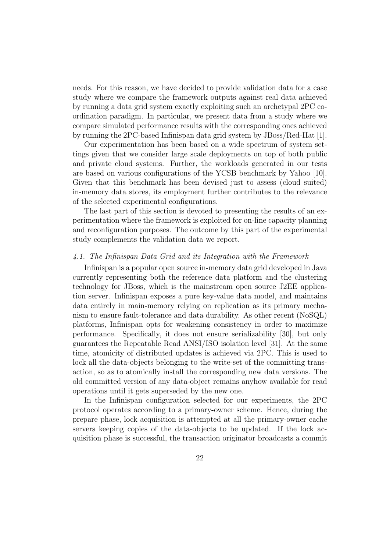needs. For this reason, we have decided to provide validation data for a case study where we compare the framework outputs against real data achieved by running a data grid system exactly exploiting such an archetypal 2PC coordination paradigm. In particular, we present data from a study where we compare simulated performance results with the corresponding ones achieved by running the 2PC-based Infinispan data grid system by JBoss/Red-Hat [1].

Our experimentation has been based on a wide spectrum of system settings given that we consider large scale deployments on top of both public and private cloud systems. Further, the workloads generated in our tests are based on various configurations of the YCSB benchmark by Yahoo [10]. Given that this benchmark has been devised just to assess (cloud suited) in-memory data stores, its employment further contributes to the relevance of the selected experimental configurations.

The last part of this section is devoted to presenting the results of an experimentation where the framework is exploited for on-line capacity planning and reconfiguration purposes. The outcome by this part of the experimental study complements the validation data we report.

## *4.1. The Infinispan Data Grid and its Integration with the Framework*

Infinispan is a popular open source in-memory data grid developed in Java currently representing both the reference data platform and the clustering technology for JBoss, which is the mainstream open source J2EE application server. Infinispan exposes a pure key-value data model, and maintains data entirely in main-memory relying on replication as its primary mechanism to ensure fault-tolerance and data durability. As other recent (NoSQL) platforms, Infinispan opts for weakening consistency in order to maximize performance. Specifically, it does not ensure serializability [30], but only guarantees the Repeatable Read ANSI/ISO isolation level [31]. At the same time, atomicity of distributed updates is achieved via 2PC. This is used to lock all the data-objects belonging to the write-set of the committing transaction, so as to atomically install the corresponding new data versions. The old committed version of any data-object remains anyhow available for read operations until it gets superseded by the new one.

In the Infinispan configuration selected for our experiments, the 2PC protocol operates according to a primary-owner scheme. Hence, during the prepare phase, lock acquisition is attempted at all the primary-owner cache servers keeping copies of the data-objects to be updated. If the lock acquisition phase is successful, the transaction originator broadcasts a commit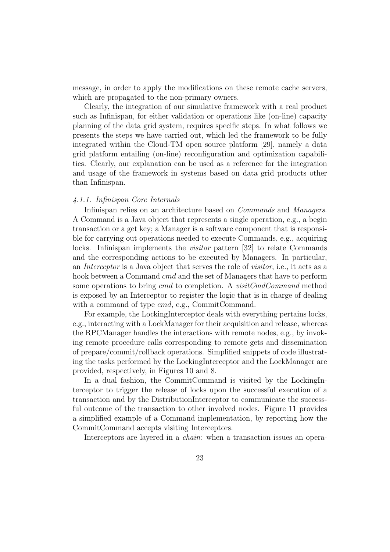message, in order to apply the modifications on these remote cache servers, which are propagated to the non-primary owners.

Clearly, the integration of our simulative framework with a real product such as Infinispan, for either validation or operations like (on-line) capacity planning of the data grid system, requires specific steps. In what follows we presents the steps we have carried out, which led the framework to be fully integrated within the Cloud-TM open source platform [29], namely a data grid platform entailing (on-line) reconfiguration and optimization capabilities. Clearly, our explanation can be used as a reference for the integration and usage of the framework in systems based on data grid products other than Infinispan.

#### *4.1.1. Infinispan Core Internals*

Infinispan relies on an architecture based on *Commands* and *Managers*. A Command is a Java object that represents a single operation, e.g., a begin transaction or a get key; a Manager is a software component that is responsible for carrying out operations needed to execute Commands, e.g., acquiring locks. Infinispan implements the *visitor* pattern [32] to relate Commands and the corresponding actions to be executed by Managers. In particular, an *Interceptor* is a Java object that serves the role of *visitor*, i.e., it acts as a hook between a Command *cmd* and the set of Managers that have to perform some operations to bring *cmd* to completion. A *visitCmdCommand* method is exposed by an Interceptor to register the logic that is in charge of dealing with a command of type *cmd*, e.g., CommitCommand.

For example, the LockingInterceptor deals with everything pertains locks, e.g., interacting with a LockManager for their acquisition and release, whereas the RPCManager handles the interactions with remote nodes, e.g., by invoking remote procedure calls corresponding to remote gets and dissemination of prepare/commit/rollback operations. Simplified snippets of code illustrating the tasks performed by the LockingInterceptor and the LockManager are provided, respectively, in Figures 10 and 8.

In a dual fashion, the CommitCommand is visited by the LockingInterceptor to trigger the release of locks upon the successful execution of a transaction and by the DistributionInterceptor to communicate the successful outcome of the transaction to other involved nodes. Figure 11 provides a simplified example of a Command implementation, by reporting how the CommitCommand accepts visiting Interceptors.

Interceptors are layered in a *chain*: when a transaction issues an opera-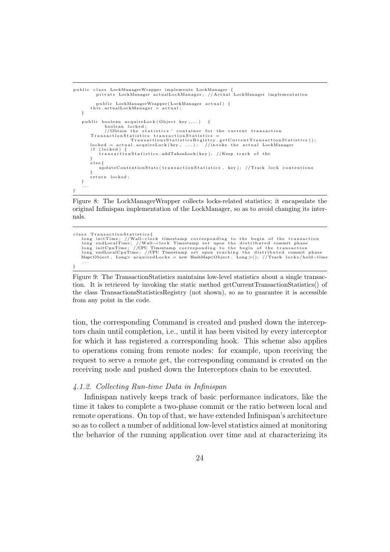```
public class LockManagerWrapper implements LockManager {<br>private LockManager actualLockManager; //Actual LockManager implementation
          public LockManagerWrapper (LockManager actual) {
       this . actualLockManager = actual;
   }
   public boolean acquireLock (Object key....) {
              boolean locked;<br>//Obtain the statistics ' container for the current transaction
       Transactions Statistics transaction Statistics =
                         TransactionsStatisticsRegistry .getCurrentTransactionStatistics();
       \lceil \text{locked} \rceil = \text{actual} \cdot \text{acquireLock}(\text{key}, \ldots); //invoke the actual LockManager
       i f ( l o c k e d ) {
           transactionStatistics.addTakenLock(key); //Keep track of the
       }
e l s e {
          what eContention Stats (transaction Statistics, key); //Track lock contentions
       }<br>return locked;
   }
    . . .
}
```
Figure 8: The LockManagerWrapper collects locks-related statistics; it encapsulate the original Infinispan implementation of the LockManager, so as to avoid changing its internals.

```
c l a s s T r a n s a c t i o n S t a t i s t i c s {
      long initTime; //Wall–clock timestamp corresponding to the begin of the transaction<br>long endLocalTime; //Wall–clock Timestamp set upon the distributed commit phase<br>long initCpuTime; //CPU Timestamp corresponding to the beg
     MapくObject, Long> acquiredLocks = new HashMap<Object, Long>(); //Track locks/hold-time<br>...
}
```
Figure 9: The TransactionStatistics maintains low-level statistics about a single transaction. It is retrieved by invoking the static method getCurrentTransactionStatistics() of the class TransactionsStatisticsRegistry (not shown), so as to guarantee it is accessible from any point in the code.

tion, the corresponding Command is created and pushed down the interceptors chain until completion, i.e., until it has been visited by every interceptor for which it has registered a corresponding hook. This scheme also applies to operations coming from remote nodes: for example, upon receiving the request to serve a remote get, the corresponding command is created on the receiving node and pushed down the Interceptors chain to be executed.

#### *4.1.2. Collecting Run-time Data in Infinispan*

Infinispan natively keeps track of basic performance indicators, like the time it takes to complete a two-phase commit or the ratio between local and remote operations. On top of that, we have extended Infinispan's architecture so as to collect a number of additional low-level statistics aimed at monitoring the behavior of the running application over time and at characterizing its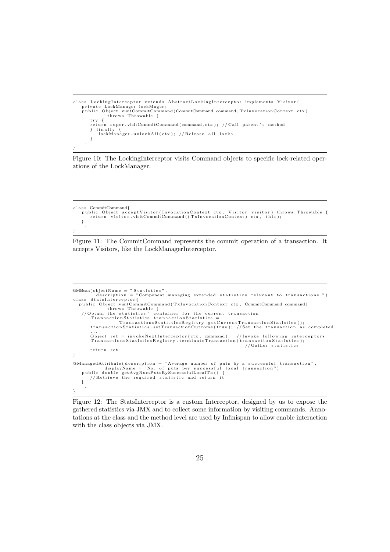```
class Locking Interceptor extends Abstract Locking Interceptor implements Visitor {
   private LockManager lockMager;
   public Object visitCommitCommand (CommitCommand command, TxInvocationContext ctx)
             throws Throwable {
       try {<br>return super.visitCommitCommand(command,ctx); //Call parent's method<br>} finally {
          lockManager.unlockAll(ctx); //Release all locks
      }
    . . .
}
```
Figure 10: The LockingInterceptor visits Command objects to specific lock-related operations of the LockManager.

```
c l a s s CommitCommand{
    public Object accept Visitor (Invocation Context ctx, Visitor visitor) throws Throwable {<br>return visitor.visitCommitCommand ((TxInvocation Context) ctx, this);
                    v is it or . visit Commit Command ( ( Tx Invocation Context ) ctx, this );
    }
     . . .
}
```
Figure 11: The CommitCommand represents the commit operation of a transaction. It accepts Visitors, like the LockManagerInterceptor.

```
@MBean(objectName = "Statistics")description = "Component managing extended statistics relevant to transactions.")
class StatsInterceptor{
   public Object visitCommitCommand (TxInvocationContext ctx, CommitCommand command)
     throws Throwable {<br>//Obtain the statistics,' container for the current transaction<br>TransactionStatistics =<br>TransactionStatisticsRegistry.getCurrentTransactionStatistics();
         transaction Statistics. setTransactionOutcome (true); //Set the transaction as completed
          ...<br>Object ret = invokeNextInterceptor(ctx, command); //Invoke following interceptors<br>TransactionsStatisticsRegistry.terminateTransaction(transactionStatistics);
                                                                                                // Gather statistics
         return ret :
}
@ManagedAttribute(description = "Average number of puts by a successful transaction",<br>displayName = "No. of puts per successful local transaction")<br>public double getAvgNumPutsBySuccessfulLocalTx() {<br>//Retrieve the required
    }
     . . .
}
```
Figure 12: The StatsInterceptor is a custom Interceptor, designed by us to expose the gathered statistics via JMX and to collect some information by visiting commands. Annotations at the class and the method level are used by Infinispan to allow enable interaction with the class objects via JMX.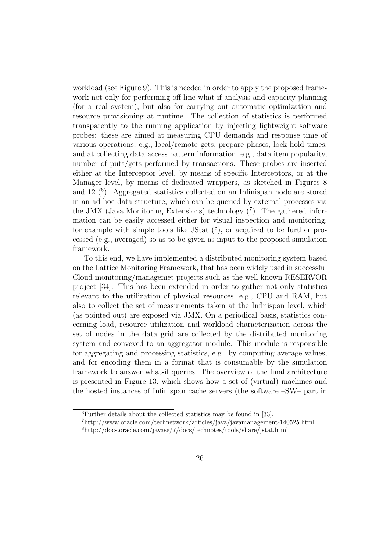workload (see Figure 9). This is needed in order to apply the proposed framework not only for performing off-line what-if analysis and capacity planning (for a real system), but also for carrying out automatic optimization and resource provisioning at runtime. The collection of statistics is performed transparently to the running application by injecting lightweight software probes: these are aimed at measuring CPU demands and response time of various operations, e.g., local/remote gets, prepare phases, lock hold times, and at collecting data access pattern information, e.g., data item popularity, number of puts/gets performed by transactions. These probes are inserted either at the Interceptor level, by means of specific Interceptors, or at the Manager level, by means of dedicated wrappers, as sketched in Figures 8 and 12 (<sup>6</sup> ). Aggregated statistics collected on an Infinispan node are stored in an ad-hoc data-structure, which can be queried by external processes via the JMX (Java Monitoring Extensions) technology  $(7)$ . The gathered information can be easily accessed either for visual inspection and monitoring, for example with simple tools like JStat  $(8)$ , or acquired to be further processed (e.g., averaged) so as to be given as input to the proposed simulation framework.

To this end, we have implemented a distributed monitoring system based on the Lattice Monitoring Framework, that has been widely used in successful Cloud monitoring/managemet projects such as the well known RESERVOR project [34]. This has been extended in order to gather not only statistics relevant to the utilization of physical resources, e.g., CPU and RAM, but also to collect the set of measurements taken at the Infinispan level, which (as pointed out) are exposed via JMX. On a periodical basis, statistics concerning load, resource utilization and workload characterization across the set of nodes in the data grid are collected by the distributed monitoring system and conveyed to an aggregator module. This module is responsible for aggregating and processing statistics, e.g., by computing average values, and for encoding them in a format that is consumable by the simulation framework to answer what-if queries. The overview of the final architecture is presented in Figure 13, which shows how a set of (virtual) machines and the hosted instances of Infinispan cache servers (the software –SW– part in

 ${}^{6}$ Further details about the collected statistics may be found in [33].

<sup>7</sup>http://www.oracle.com/technetwork/articles/java/javamanagement-140525.html

<sup>8</sup>http://docs.oracle.com/javase/7/docs/technotes/tools/share/jstat.html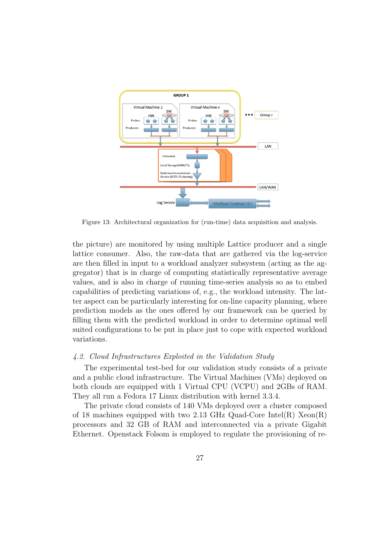

Figure 13: Architectural organization for (run-time) data acquisition and analysis.

the picture) are monitored by using multiple Lattice producer and a single lattice consumer. Also, the raw-data that are gathered via the log-service are then filled in input to a workload analyzer subsystem (acting as the aggregator) that is in charge of computing statistically representative average values, and is also in charge of running time-series analysis so as to embed capabilities of predicting variations of, e.g., the workload intensity. The latter aspect can be particularly interesting for on-line capacity planning, where prediction models as the ones offered by our framework can be queried by filling them with the predicted workload in order to determine optimal well suited configurations to be put in place just to cope with expected workload variations.

### *4.2. Cloud Infrastructures Exploited in the Validation Study*

The experimental test-bed for our validation study consists of a private and a public cloud infrastructure. The Virtual Machines (VMs) deployed on both clouds are equipped with 1 Virtual CPU (VCPU) and 2GBs of RAM. They all run a Fedora 17 Linux distribution with kernel 3.3.4.

The private cloud consists of 140 VMs deployed over a cluster composed of 18 machines equipped with two 2.13 GHz Quad-Core Intel(R) Xeon(R) processors and 32 GB of RAM and interconnected via a private Gigabit Ethernet. Openstack Folsom is employed to regulate the provisioning of re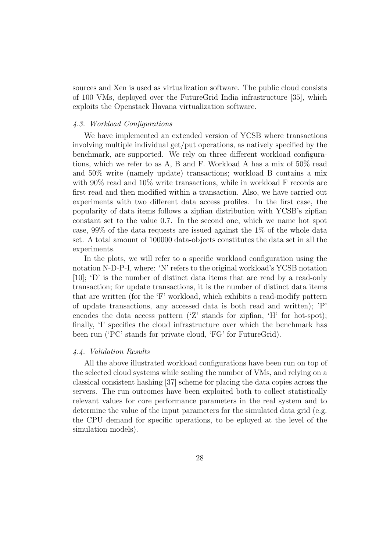sources and Xen is used as virtualization software. The public cloud consists of 100 VMs, deployed over the FutureGrid India infrastructure [35], which exploits the Openstack Havana virtualization software.

## *4.3. Workload Configurations*

We have implemented an extended version of YCSB where transactions involving multiple individual get/put operations, as natively specified by the benchmark, are supported. We rely on three different workload configurations, which we refer to as A, B and F. Workload A has a mix of 50% read and 50% write (namely update) transactions; workload B contains a mix with 90% read and 10% write transactions, while in workload F records are first read and then modified within a transaction. Also, we have carried out experiments with two different data access profiles. In the first case, the popularity of data items follows a zipfian distribution with YCSB's zipfian constant set to the value 0.7. In the second one, which we name hot spot case, 99% of the data requests are issued against the 1% of the whole data set. A total amount of 100000 data-objects constitutes the data set in all the experiments.

In the plots, we will refer to a specific workload configuration using the notation N-D-P-I, where: 'N' refers to the original workload's YCSB notation [10]; 'D' is the number of distinct data items that are read by a read-only transaction; for update transactions, it is the number of distinct data items that are written (for the 'F' workload, which exhibits a read-modify pattern of update transactions, any accessed data is both read and written); 'P' encodes the data access pattern ('Z' stands for zipfian, 'H' for hot-spot); finally, 'I' specifies the cloud infrastructure over which the benchmark has been run ('PC' stands for private cloud, 'FG' for FutureGrid).

## *4.4. Validation Results*

All the above illustrated workload configurations have been run on top of the selected cloud systems while scaling the number of VMs, and relying on a classical consistent hashing [37] scheme for placing the data copies across the servers. The run outcomes have been exploited both to collect statistically relevant values for core performance parameters in the real system and to determine the value of the input parameters for the simulated data grid (e.g. the CPU demand for specific operations, to be eployed at the level of the simulation models).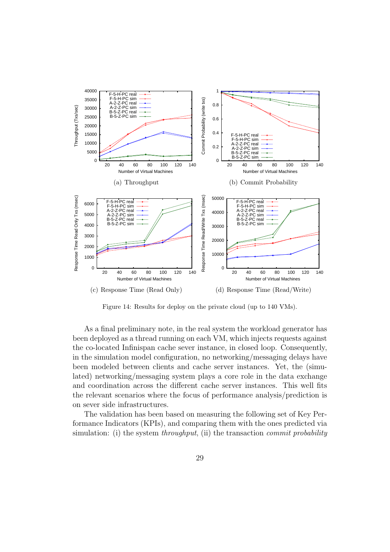

Figure 14: Results for deploy on the private cloud (up to 140 VMs).

As a final preliminary note, in the real system the workload generator has been deployed as a thread running on each VM, which injects requests against the co-located Infinispan cache sever instance, in closed loop. Consequently, in the simulation model configuration, no networking/messaging delays have been modeled between clients and cache server instances. Yet, the (simulated) networking/messaging system plays a core role in the data exchange and coordination across the different cache server instances. This well fits the relevant scenarios where the focus of performance analysis/prediction is on sever side infrastructures.

The validation has been based on measuring the following set of Key Performance Indicators (KPIs), and comparing them with the ones predicted via simulation: (i) the system *throughput*, (ii) the transaction *commit probability*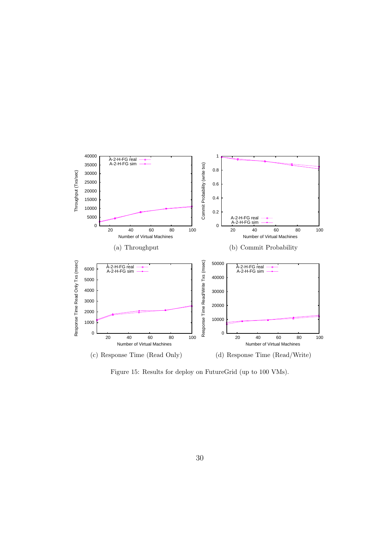

Figure 15: Results for deploy on FutureGrid (up to 100 VMs).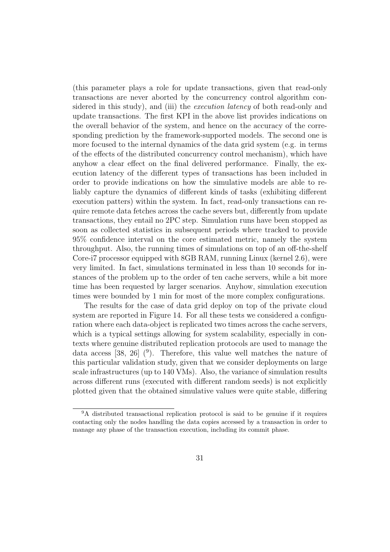(this parameter plays a role for update transactions, given that read-only transactions are never aborted by the concurrency control algorithm considered in this study), and (iii) the *execution latency* of both read-only and update transactions. The first KPI in the above list provides indications on the overall behavior of the system, and hence on the accuracy of the corresponding prediction by the framework-supported models. The second one is more focused to the internal dynamics of the data grid system (e.g. in terms of the effects of the distributed concurrency control mechanism), which have anyhow a clear effect on the final delivered performance. Finally, the execution latency of the different types of transactions has been included in order to provide indications on how the simulative models are able to reliably capture the dynamics of different kinds of tasks (exhibiting different execution patters) within the system. In fact, read-only transactions can require remote data fetches across the cache severs but, differently from update transactions, they entail no 2PC step. Simulation runs have been stopped as soon as collected statistics in subsequent periods where tracked to provide 95% confidence interval on the core estimated metric, namely the system throughput. Also, the running times of simulations on top of an off-the-shelf Core-i7 processor equipped with 8GB RAM, running Linux (kernel 2.6), were very limited. In fact, simulations terminated in less than 10 seconds for instances of the problem up to the order of ten cache servers, while a bit more time has been requested by larger scenarios. Anyhow, simulation execution times were bounded by 1 min for most of the more complex configurations.

The results for the case of data grid deploy on top of the private cloud system are reported in Figure 14. For all these tests we considered a configuration where each data-object is replicated two times across the cache servers, which is a typical settings allowing for system scalability, especially in contexts where genuine distributed replication protocols are used to manage the data access [38, 26]  $(9)$ . Therefore, this value well matches the nature of this particular validation study, given that we consider deployments on large scale infrastructures (up to 140 VMs). Also, the variance of simulation results across different runs (executed with different random seeds) is not explicitly plotted given that the obtained simulative values were quite stable, differing

<sup>&</sup>lt;sup>9</sup>A distributed transactional replication protocol is said to be genuine if it requires contacting only the nodes handling the data copies accessed by a transaction in order to manage any phase of the transaction execution, including its commit phase.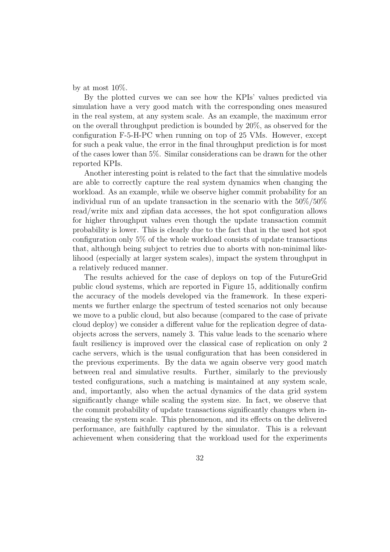by at most 10%.

By the plotted curves we can see how the KPIs' values predicted via simulation have a very good match with the corresponding ones measured in the real system, at any system scale. As an example, the maximum error on the overall throughput prediction is bounded by 20%, as observed for the configuration F-5-H-PC when running on top of 25 VMs. However, except for such a peak value, the error in the final throughput prediction is for most of the cases lower than 5%. Similar considerations can be drawn for the other reported KPIs.

Another interesting point is related to the fact that the simulative models are able to correctly capture the real system dynamics when changing the workload. As an example, while we observe higher commit probability for an individual run of an update transaction in the scenario with the 50%/50% read/write mix and zipfian data accesses, the hot spot configuration allows for higher throughput values even though the update transaction commit probability is lower. This is clearly due to the fact that in the used hot spot configuration only 5% of the whole workload consists of update transactions that, although being subject to retries due to aborts with non-minimal likelihood (especially at larger system scales), impact the system throughput in a relatively reduced manner.

The results achieved for the case of deploys on top of the FutureGrid public cloud systems, which are reported in Figure 15, additionally confirm the accuracy of the models developed via the framework. In these experiments we further enlarge the spectrum of tested scenarios not only because we move to a public cloud, but also because (compared to the case of private cloud deploy) we consider a different value for the replication degree of dataobjects across the servers, namely 3. This value leads to the scenario where fault resiliency is improved over the classical case of replication on only 2 cache servers, which is the usual configuration that has been considered in the previous experiments. By the data we again observe very good match between real and simulative results. Further, similarly to the previously tested configurations, such a matching is maintained at any system scale, and, importantly, also when the actual dynamics of the data grid system significantly change while scaling the system size. In fact, we observe that the commit probability of update transactions significantly changes when increasing the system scale. This phenomenon, and its effects on the delivered performance, are faithfully captured by the simulator. This is a relevant achievement when considering that the workload used for the experiments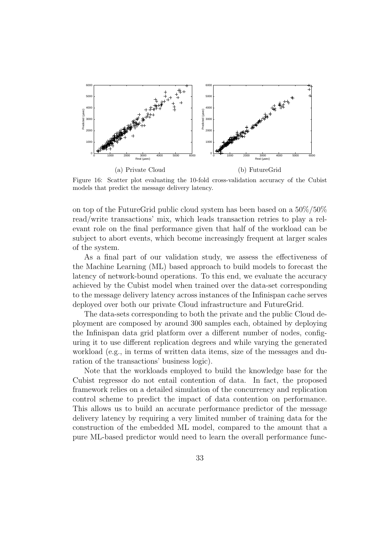

Figure 16: Scatter plot evaluating the 10-fold cross-validation accuracy of the Cubist models that predict the message delivery latency.

on top of the FutureGrid public cloud system has been based on a 50%/50% read/write transactions' mix, which leads transaction retries to play a relevant role on the final performance given that half of the workload can be subject to abort events, which become increasingly frequent at larger scales of the system.

As a final part of our validation study, we assess the effectiveness of the Machine Learning (ML) based approach to build models to forecast the latency of network-bound operations. To this end, we evaluate the accuracy achieved by the Cubist model when trained over the data-set corresponding to the message delivery latency across instances of the Infinispan cache serves deployed over both our private Cloud infrastructure and FutureGrid.

The data-sets corresponding to both the private and the public Cloud deployment are composed by around 300 samples each, obtained by deploying the Infinispan data grid platform over a different number of nodes, configuring it to use different replication degrees and while varying the generated workload (e.g., in terms of written data items, size of the messages and duration of the transactions' business logic).

Note that the workloads employed to build the knowledge base for the Cubist regressor do not entail contention of data. In fact, the proposed framework relies on a detailed simulation of the concurrency and replication control scheme to predict the impact of data contention on performance. This allows us to build an accurate performance predictor of the message delivery latency by requiring a very limited number of training data for the construction of the embedded ML model, compared to the amount that a pure ML-based predictor would need to learn the overall performance func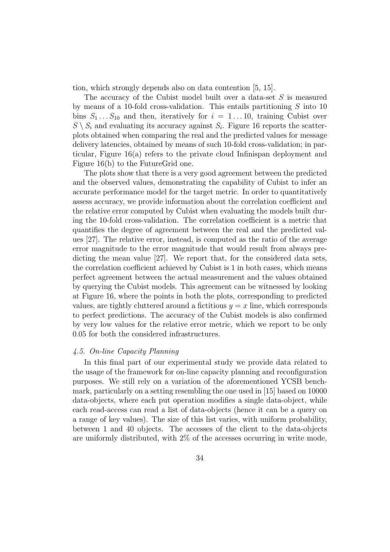tion, which strongly depends also on data contention [5, 15].

The accuracy of the Cubist model built over a data-set *S* is measured by means of a 10-fold cross-validation. This entails partitioning *S* into 10 bins  $S_1 \ldots S_{10}$  and then, iteratively for  $i = 1 \ldots 10$ , training Cubist over  $S \setminus S_i$  and evaluating its accuracy against  $S_i$ . Figure 16 reports the scatterplots obtained when comparing the real and the predicted values for message delivery latencies, obtained by means of such 10-fold cross-validation; in particular, Figure 16(a) refers to the private cloud Infinispan deployment and Figure 16(b) to the FutureGrid one.

The plots show that there is a very good agreement between the predicted and the observed values, demonstrating the capability of Cubist to infer an accurate performance model for the target metric. In order to quantitatively assess accuracy, we provide information about the correlation coefficient and the relative error computed by Cubist when evaluating the models built during the 10-fold cross-validation. The correlation coefficient is a metric that quantifies the degree of agreement between the real and the predicted values [27]. The relative error, instead, is computed as the ratio of the average error magnitude to the error magnitude that would result from always predicting the mean value [27]. We report that, for the considered data sets, the correlation coefficient achieved by Cubist is 1 in both cases, which means perfect agreement between the actual measurement and the values obtained by querying the Cubist models. This agreement can be witnessed by looking at Figure 16, where the points in both the plots, corresponding to predicted values, are tightly cluttered around a fictitious  $y = x$  line, which corresponds to perfect predictions. The accuracy of the Cubist models is also confirmed by very low values for the relative error metric, which we report to be only 0.05 for both the considered infrastructures.

## *4.5. On-line Capacity Planning*

In this final part of our experimental study we provide data related to the usage of the framework for on-line capacity planning and reconfiguration purposes. We still rely on a variation of the aforementioned YCSB benchmark, particularly on a setting resembling the one used in [15] based on 10000 data-objects, where each put operation modifies a single data-object, while each read-access can read a list of data-objects (hence it can be a query on a range of key values). The size of this list varies, with uniform probability, between 1 and 40 objects. The accesses of the client to the data-objects are uniformly distributed, with 2% of the accesses occurring in write mode,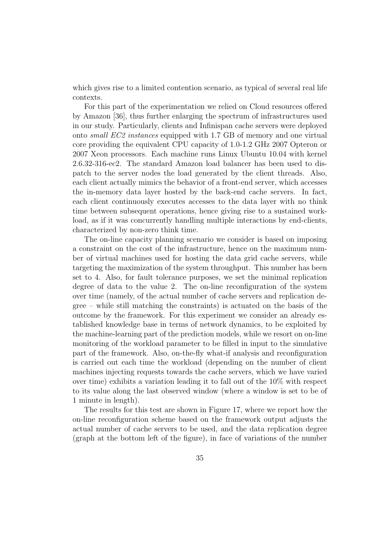which gives rise to a limited contention scenario, as typical of several real life contexts.

For this part of the experimentation we relied on Cloud resources offered by Amazon [36], thus further enlarging the spectrum of infrastructures used in our study. Particularly, clients and Infinispan cache servers were deployed onto *small EC2 instances* equipped with 1.7 GB of memory and one virtual core providing the equivalent CPU capacity of 1.0-1.2 GHz 2007 Opteron or 2007 Xeon processors. Each machine runs Linux Ubuntu 10.04 with kernel 2.6.32-316-ec2. The standard Amazon load balancer has been used to dispatch to the server nodes the load generated by the client threads. Also, each client actually mimics the behavior of a front-end server, which accesses the in-memory data layer hosted by the back-end cache servers. In fact, each client continuously executes accesses to the data layer with no think time between subsequent operations, hence giving rise to a sustained workload, as if it was concurrently handling multiple interactions by end-clients, characterized by non-zero think time.

The on-line capacity planning scenario we consider is based on imposing a constraint on the cost of the infrastructure, hence on the maximum number of virtual machines used for hosting the data grid cache servers, while targeting the maximization of the system throughput. This number has been set to 4. Also, for fault tolerance purposes, we set the minimal replication degree of data to the value 2. The on-line reconfiguration of the system over time (namely, of the actual number of cache servers and replication degree – while still matching the constraints) is actuated on the basis of the outcome by the framework. For this experiment we consider an already established knowledge base in terms of network dynamics, to be exploited by the machine-learning part of the prediction models, while we resort on on-line monitoring of the workload parameter to be filled in input to the simulative part of the framework. Also, on-the-fly what-if analysis and reconfiguration is carried out each time the workload (depending on the number of client machines injecting requests towards the cache servers, which we have varied over time) exhibits a variation leading it to fall out of the 10% with respect to its value along the last observed window (where a window is set to be of 1 minute in length).

The results for this test are shown in Figure 17, where we report how the on-line reconfiguration scheme based on the framework output adjusts the actual number of cache servers to be used, and the data replication degree (graph at the bottom left of the figure), in face of variations of the number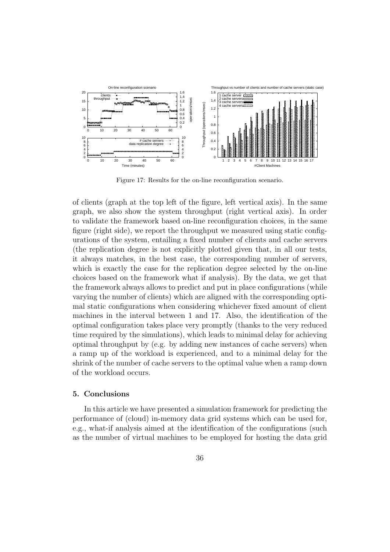

Figure 17: Results for the on-line reconfiguration scenario.

of clients (graph at the top left of the figure, left vertical axis). In the same graph, we also show the system throughput (right vertical axis). In order to validate the framework based on-line reconfiguration choices, in the same figure (right side), we report the throughput we measured using static configurations of the system, entailing a fixed number of clients and cache servers (the replication degree is not explicitly plotted given that, in all our tests, it always matches, in the best case, the corresponding number of servers, which is exactly the case for the replication degree selected by the on-line choices based on the framework what if analysis). By the data, we get that the framework always allows to predict and put in place configurations (while varying the number of clients) which are aligned with the corresponding optimal static configurations when considering whichever fixed amount of client machines in the interval between 1 and 17. Also, the identification of the optimal configuration takes place very promptly (thanks to the very reduced time required by the simulations), which leads to minimal delay for achieving optimal throughput by (e.g. by adding new instances of cache servers) when a ramp up of the workload is experienced, and to a minimal delay for the shrink of the number of cache servers to the optimal value when a ramp down of the workload occurs.

## **5. Conclusions**

In this article we have presented a simulation framework for predicting the performance of (cloud) in-memory data grid systems which can be used for, e.g., what-if analysis aimed at the identification of the configurations (such as the number of virtual machines to be employed for hosting the data grid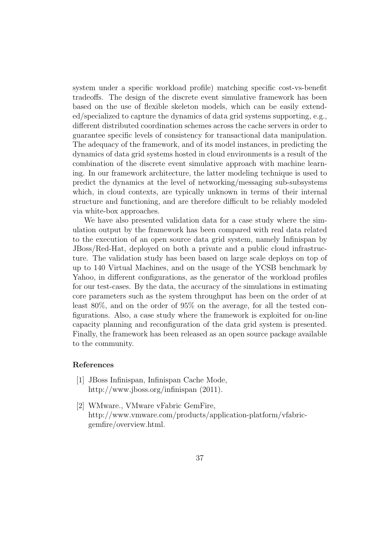system under a specific workload profile) matching specific cost-vs-benefit tradeoffs. The design of the discrete event simulative framework has been based on the use of flexible skeleton models, which can be easily extended/specialized to capture the dynamics of data grid systems supporting, e.g., different distributed coordination schemes across the cache servers in order to guarantee specific levels of consistency for transactional data manipulation. The adequacy of the framework, and of its model instances, in predicting the dynamics of data grid systems hosted in cloud environments is a result of the combination of the discrete event simulative approach with machine learning. In our framework architecture, the latter modeling technique is used to predict the dynamics at the level of networking/messaging sub-subsystems which, in cloud contexts, are typically unknown in terms of their internal structure and functioning, and are therefore difficult to be reliably modeled via white-box approaches.

We have also presented validation data for a case study where the simulation output by the framework has been compared with real data related to the execution of an open source data grid system, namely Infinispan by JBoss/Red-Hat, deployed on both a private and a public cloud infrastructure. The validation study has been based on large scale deploys on top of up to 140 Virtual Machines, and on the usage of the YCSB benchmark by Yahoo, in different configurations, as the generator of the workload profiles for our test-cases. By the data, the accuracy of the simulations in estimating core parameters such as the system throughput has been on the order of at least 80%, and on the order of 95% on the average, for all the tested configurations. Also, a case study where the framework is exploited for on-line capacity planning and reconfiguration of the data grid system is presented. Finally, the framework has been released as an open source package available to the community.

# **References**

- [1] JBoss Infinispan, Infinispan Cache Mode, http://www.jboss.org/infinispan (2011).
- [2] WMware., VMware vFabric GemFire, http://www.vmware.com/products/application-platform/vfabricgemfire/overview.html.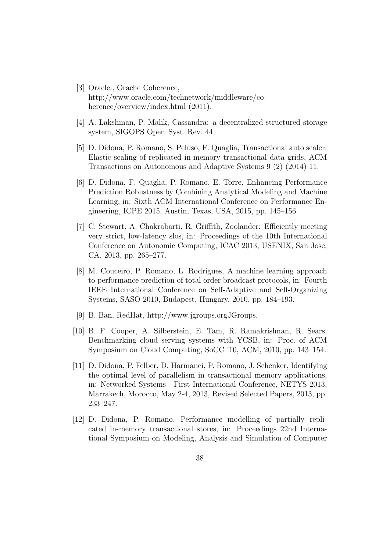- [3] Oracle., Orache Coherence, http://www.oracle.com/technetwork/middleware/coherence/overview/index.html  $(2011)$ .
- [4] A. Lakshman, P. Malik, Cassandra: a decentralized structured storage system, SIGOPS Oper. Syst. Rev. 44.
- [5] D. Didona, P. Romano, S. Peluso, F. Quaglia, Transactional auto scaler: Elastic scaling of replicated in-memory transactional data grids, ACM Transactions on Autonomous and Adaptive Systems 9 (2) (2014) 11.
- [6] D. Didona, F. Quaglia, P. Romano, E. Torre, Enhancing Performance Prediction Robustness by Combining Analytical Modeling and Machine Learning, in: Sixth ACM International Conference on Performance Engineering, ICPE 2015, Austin, Texas, USA, 2015, pp. 145–156.
- [7] C. Stewart, A. Chakrabarti, R. Griffith, Zoolander: Efficiently meeting very strict, low-latency slos, in: Proceedings of the 10th International Conference on Autonomic Computing, ICAC 2013, USENIX, San Jose, CA, 2013, pp. 265–277.
- [8] M. Couceiro, P. Romano, L. Rodrigues, A machine learning approach to performance prediction of total order broadcast protocols, in: Fourth IEEE International Conference on Self-Adaptive and Self-Organizing Systems, SASO 2010, Budapest, Hungary, 2010, pp. 184–193.
- [9] B. Ban, RedHat, http://www.jgroups.orgJGroups.
- [10] B. F. Cooper, A. Silberstein, E. Tam, R. Ramakrishnan, R. Sears, Benchmarking cloud serving systems with YCSB, in: Proc. of ACM Symposium on Cloud Computing, SoCC '10, ACM, 2010, pp. 143–154.
- [11] D. Didona, P. Felber, D. Harmanci, P. Romano, J. Schenker, Identifying the optimal level of parallelism in transactional memory applications, in: Networked Systems - First International Conference, NETYS 2013, Marrakech, Morocco, May 2-4, 2013, Revised Selected Papers, 2013, pp. 233–247.
- [12] D. Didona, P. Romano, Performance modelling of partially replicated in-memory transactional stores, in: Proceedings 22nd International Symposium on Modeling, Analysis and Simulation of Computer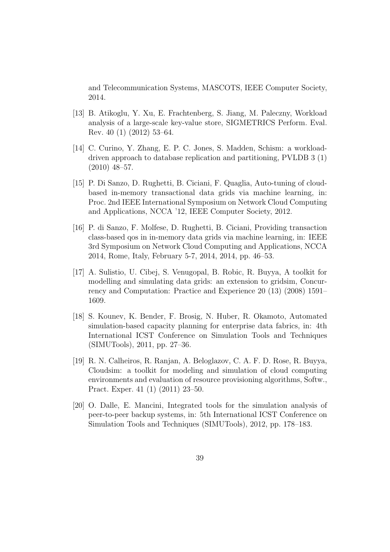and Telecommunication Systems, MASCOTS, IEEE Computer Society, 2014.

- [13] B. Atikoglu, Y. Xu, E. Frachtenberg, S. Jiang, M. Paleczny, Workload analysis of a large-scale key-value store, SIGMETRICS Perform. Eval. Rev. 40 (1) (2012) 53–64.
- [14] C. Curino, Y. Zhang, E. P. C. Jones, S. Madden, Schism: a workloaddriven approach to database replication and partitioning, PVLDB 3 (1) (2010) 48–57.
- [15] P. Di Sanzo, D. Rughetti, B. Ciciani, F. Quaglia, Auto-tuning of cloudbased in-memory transactional data grids via machine learning, in: Proc. 2nd IEEE International Symposium on Network Cloud Computing and Applications, NCCA '12, IEEE Computer Society, 2012.
- [16] P. di Sanzo, F. Molfese, D. Rughetti, B. Ciciani, Providing transaction class-based qos in in-memory data grids via machine learning, in: IEEE 3rd Symposium on Network Cloud Computing and Applications, NCCA 2014, Rome, Italy, February 5-7, 2014, 2014, pp. 46–53.
- [17] A. Sulistio, U. Cibej, S. Venugopal, B. Robic, R. Buyya, A toolkit for modelling and simulating data grids: an extension to gridsim, Concurrency and Computation: Practice and Experience 20 (13) (2008) 1591– 1609.
- [18] S. Kounev, K. Bender, F. Brosig, N. Huber, R. Okamoto, Automated simulation-based capacity planning for enterprise data fabrics, in: 4th International ICST Conference on Simulation Tools and Techniques (SIMUTools), 2011, pp. 27–36.
- [19] R. N. Calheiros, R. Ranjan, A. Beloglazov, C. A. F. D. Rose, R. Buyya, Cloudsim: a toolkit for modeling and simulation of cloud computing environments and evaluation of resource provisioning algorithms, Softw., Pract. Exper. 41 (1) (2011) 23–50.
- [20] O. Dalle, E. Mancini, Integrated tools for the simulation analysis of peer-to-peer backup systems, in: 5th International ICST Conference on Simulation Tools and Techniques (SIMUTools), 2012, pp. 178–183.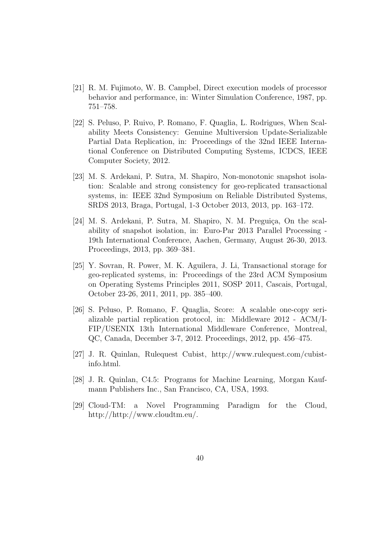- [21] R. M. Fujimoto, W. B. Campbel, Direct execution models of processor behavior and performance, in: Winter Simulation Conference, 1987, pp. 751–758.
- [22] S. Peluso, P. Ruivo, P. Romano, F. Quaglia, L. Rodrigues, When Scalability Meets Consistency: Genuine Multiversion Update-Serializable Partial Data Replication, in: Proceedings of the 32nd IEEE International Conference on Distributed Computing Systems, ICDCS, IEEE Computer Society, 2012.
- [23] M. S. Ardekani, P. Sutra, M. Shapiro, Non-monotonic snapshot isolation: Scalable and strong consistency for geo-replicated transactional systems, in: IEEE 32nd Symposium on Reliable Distributed Systems, SRDS 2013, Braga, Portugal, 1-3 October 2013, 2013, pp. 163–172.
- [24] M. S. Ardekani, P. Sutra, M. Shapiro, N. M. Preguiça, On the scalability of snapshot isolation, in: Euro-Par 2013 Parallel Processing - 19th International Conference, Aachen, Germany, August 26-30, 2013. Proceedings, 2013, pp. 369–381.
- [25] Y. Sovran, R. Power, M. K. Aguilera, J. Li, Transactional storage for geo-replicated systems, in: Proceedings of the 23rd ACM Symposium on Operating Systems Principles 2011, SOSP 2011, Cascais, Portugal, October 23-26, 2011, 2011, pp. 385–400.
- [26] S. Peluso, P. Romano, F. Quaglia, Score: A scalable one-copy serializable partial replication protocol, in: Middleware 2012 - ACM/I-FIP/USENIX 13th International Middleware Conference, Montreal, QC, Canada, December 3-7, 2012. Proceedings, 2012, pp. 456–475.
- [27] J. R. Quinlan, Rulequest Cubist, http://www.rulequest.com/cubistinfo.html.
- [28] J. R. Quinlan, C4.5: Programs for Machine Learning, Morgan Kaufmann Publishers Inc., San Francisco, CA, USA, 1993.
- [29] Cloud-TM: a Novel Programming Paradigm for the Cloud, http://http://www.cloudtm.eu/.